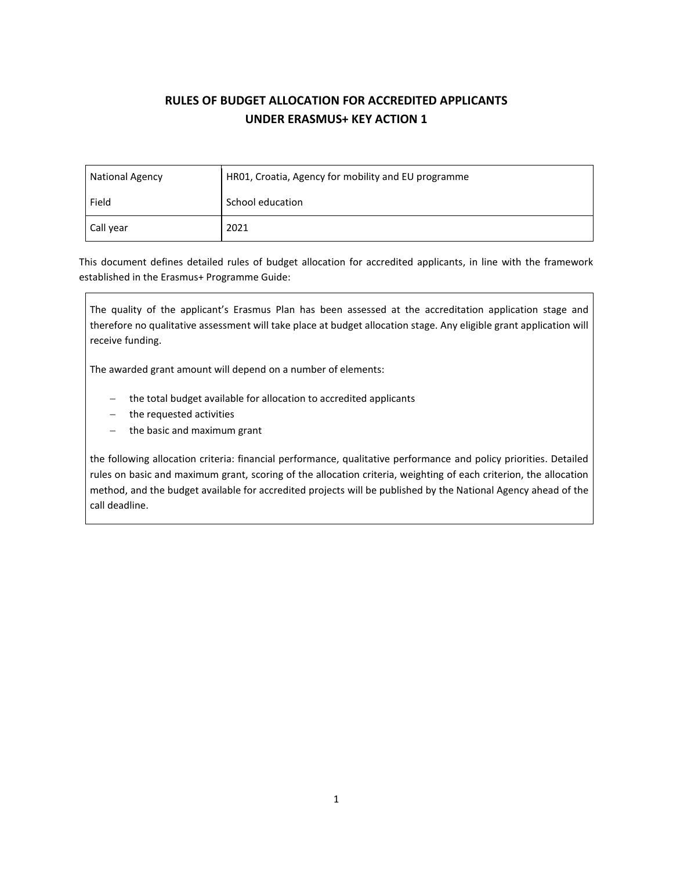# **RULES OF BUDGET ALLOCATION FOR ACCREDITED APPLICANTS UNDER ERASMUS+ KEY ACTION 1**

| <b>National Agency</b> | HR01, Croatia, Agency for mobility and EU programme |  |  |  |
|------------------------|-----------------------------------------------------|--|--|--|
| Field                  | School education                                    |  |  |  |
| Call year              | 2021                                                |  |  |  |

This document defines detailed rules of budget allocation for accredited applicants, in line with the framework established in the Erasmus+ Programme Guide:

The quality of the applicant's Erasmus Plan has been assessed at the accreditation application stage and therefore no qualitative assessment will take place at budget allocation stage. Any eligible grant application will receive funding.

The awarded grant amount will depend on a number of elements:

- − the total budget available for allocation to accredited applicants
- − the requested activities
- − the basic and maximum grant

the following allocation criteria: financial performance, qualitative performance and policy priorities. Detailed rules on basic and maximum grant, scoring of the allocation criteria, weighting of each criterion, the allocation method, and the budget available for accredited projects will be published by the National Agency ahead of the call deadline.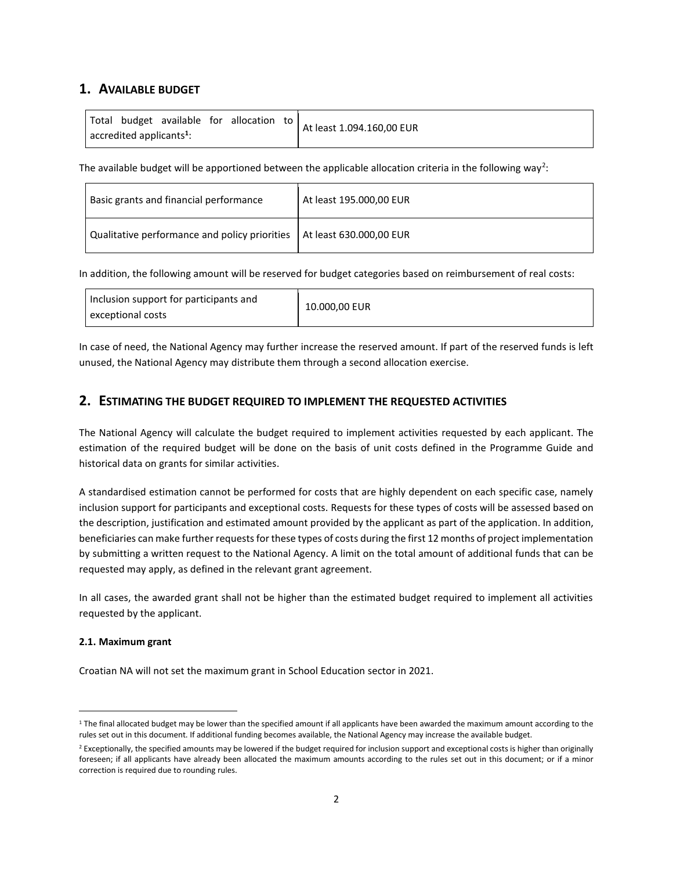# **1. AVAILABLE BUDGET**

|                                                 |  |  |  | Total budget available for allocation to | At least 1.094.160,00 EUR |
|-------------------------------------------------|--|--|--|------------------------------------------|---------------------------|
| $\sqrt{ }$ accredited applicants <sup>1</sup> : |  |  |  |                                          |                           |

The available budget will be apportioned between the applicable allocation criteria in the following way<sup>2</sup>:

| Basic grants and financial performance                                  | At least 195.000,00 EUR |
|-------------------------------------------------------------------------|-------------------------|
| Qualitative performance and policy priorities   At least 630.000,00 EUR |                         |

In addition, the following amount will be reserved for budget categories based on reimbursement of real costs:

| Inclusion support for participants and<br>exceptional costs | 10.000,00 EUR |
|-------------------------------------------------------------|---------------|
|-------------------------------------------------------------|---------------|

In case of need, the National Agency may further increase the reserved amount. If part of the reserved funds is left unused, the National Agency may distribute them through a second allocation exercise.

# **2. ESTIMATING THE BUDGET REQUIRED TO IMPLEMENT THE REQUESTED ACTIVITIES**

The National Agency will calculate the budget required to implement activities requested by each applicant. The estimation of the required budget will be done on the basis of unit costs defined in the Programme Guide and historical data on grants for similar activities.

A standardised estimation cannot be performed for costs that are highly dependent on each specific case, namely inclusion support for participants and exceptional costs. Requests for these types of costs will be assessed based on the description, justification and estimated amount provided by the applicant as part of the application. In addition, beneficiaries can make further requests for these types of costs during the first 12 months of project implementation by submitting a written request to the National Agency. A limit on the total amount of additional funds that can be requested may apply, as defined in the relevant grant agreement.

In all cases, the awarded grant shall not be higher than the estimated budget required to implement all activities requested by the applicant.

# **2.1. Maximum grant**

Croatian NA will not set the maximum grant in School Education sector in 2021.

<sup>&</sup>lt;sup>1</sup> The final allocated budget may be lower than the specified amount if all applicants have been awarded the maximum amount according to the rules set out in this document. If additional funding becomes available, the National Agency may increase the available budget.

<sup>&</sup>lt;sup>2</sup> Exceptionally, the specified amounts may be lowered if the budget required for inclusion support and exceptional costs is higher than originally foreseen; if all applicants have already been allocated the maximum amounts according to the rules set out in this document; or if a minor correction is required due to rounding rules.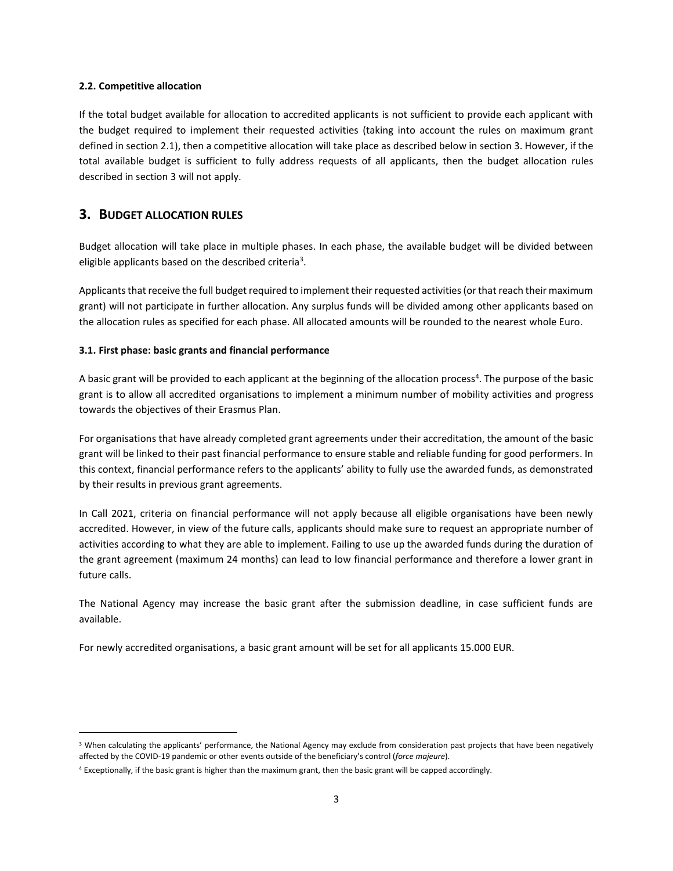#### **2.2. Competitive allocation**

If the total budget available for allocation to accredited applicants is not sufficient to provide each applicant with the budget required to implement their requested activities (taking into account the rules on maximum grant defined in section 2.1), then a competitive allocation will take place as described below in section 3. However, if the total available budget is sufficient to fully address requests of all applicants, then the budget allocation rules described in section 3 will not apply.

# **3. BUDGET ALLOCATION RULES**

Budget allocation will take place in multiple phases. In each phase, the available budget will be divided between eligible applicants based on the described criteria<sup>3</sup>.

Applicants that receive the full budget required to implement their requested activities (or that reach their maximum grant) will not participate in further allocation. Any surplus funds will be divided among other applicants based on the allocation rules as specified for each phase. All allocated amounts will be rounded to the nearest whole Euro.

#### **3.1. First phase: basic grants and financial performance**

A basic grant will be provided to each applicant at the beginning of the allocation process<sup>4</sup>. The purpose of the basic grant is to allow all accredited organisations to implement a minimum number of mobility activities and progress towards the objectives of their Erasmus Plan.

For organisations that have already completed grant agreements under their accreditation, the amount of the basic grant will be linked to their past financial performance to ensure stable and reliable funding for good performers. In this context, financial performance refers to the applicants' ability to fully use the awarded funds, as demonstrated by their results in previous grant agreements.

In Call 2021, criteria on financial performance will not apply because all eligible organisations have been newly accredited. However, in view of the future calls, applicants should make sure to request an appropriate number of activities according to what they are able to implement. Failing to use up the awarded funds during the duration of the grant agreement (maximum 24 months) can lead to low financial performance and therefore a lower grant in future calls.

The National Agency may increase the basic grant after the submission deadline, in case sufficient funds are available.

For newly accredited organisations, a basic grant amount will be set for all applicants 15.000 EUR.

<sup>&</sup>lt;sup>3</sup> When calculating the applicants' performance, the National Agency may exclude from consideration past projects that have been negatively affected by the COVID-19 pandemic or other events outside of the beneficiary's control (*force majeure*).

<sup>4</sup> Exceptionally, if the basic grant is higher than the maximum grant, then the basic grant will be capped accordingly.